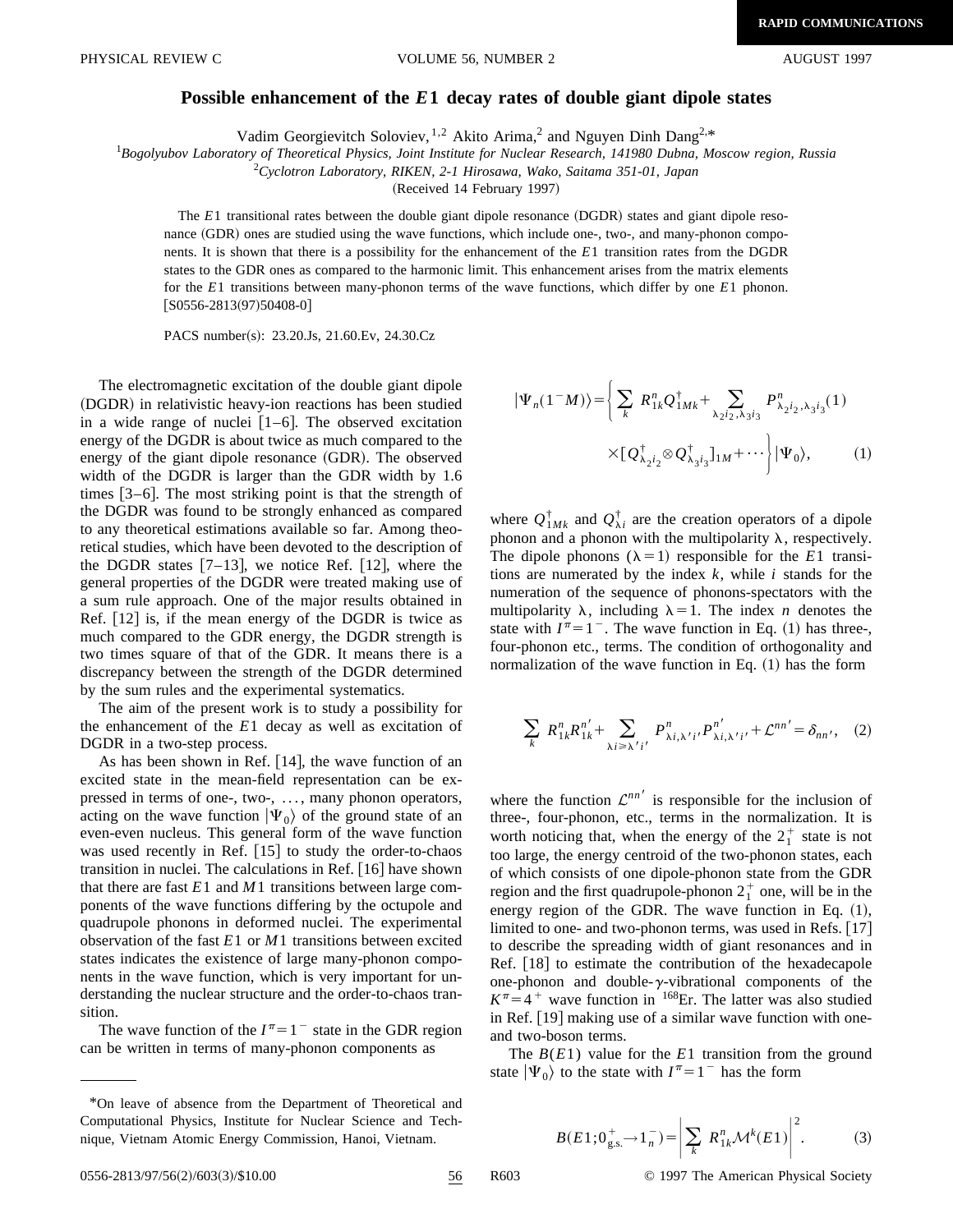## **Possible enhancement of the** *E***1 decay rates of double giant dipole states**

Vadim Georgievitch Soloviev,  $1,2$  Akito Arima,<sup>2</sup> and Nguyen Dinh Dang<sup>2,\*</sup>

*Bogolyubov Laboratory of Theoretical Physics, Joint Institute for Nuclear Research, 141980 Dubna, Moscow region, Russia*

2 *Cyclotron Laboratory, RIKEN, 2-1 Hirosawa, Wako, Saitama 351-01, Japan*

(Received 14 February 1997)

The  $E1$  transitional rates between the double giant dipole resonance  $(DGDR)$  states and giant dipole resonance (GDR) ones are studied using the wave functions, which include one-, two-, and many-phonon components. It is shown that there is a possibility for the enhancement of the *E*1 transition rates from the DGDR states to the GDR ones as compared to the harmonic limit. This enhancement arises from the matrix elements for the *E*1 transitions between many-phonon terms of the wave functions, which differ by one *E*1 phonon.  $[$ S0556-2813(97)50408-0]

PACS number(s): 23.20.Js, 21.60.Ev, 24.30.Cz

The electromagnetic excitation of the double giant dipole (DGDR) in relativistic heavy-ion reactions has been studied in a wide range of nuclei  $[1-6]$ . The observed excitation energy of the DGDR is about twice as much compared to the energy of the giant dipole resonance  $(GDR)$ . The observed width of the DGDR is larger than the GDR width by 1.6 times  $[3-6]$ . The most striking point is that the strength of the DGDR was found to be strongly enhanced as compared to any theoretical estimations available so far. Among theoretical studies, which have been devoted to the description of the DGDR states  $[7-13]$ , we notice Ref.  $[12]$ , where the general properties of the DGDR were treated making use of a sum rule approach. One of the major results obtained in Ref.  $|12|$  is, if the mean energy of the DGDR is twice as much compared to the GDR energy, the DGDR strength is two times square of that of the GDR. It means there is a discrepancy between the strength of the DGDR determined by the sum rules and the experimental systematics.

The aim of the present work is to study a possibility for the enhancement of the *E*1 decay as well as excitation of DGDR in a two-step process.

As has been shown in Ref.  $[14]$ , the wave function of an excited state in the mean-field representation can be expressed in terms of one-, two-, ..., many phonon operators, acting on the wave function  $|\Psi_0\rangle$  of the ground state of an even-even nucleus. This general form of the wave function was used recently in Ref.  $[15]$  to study the order-to-chaos transition in nuclei. The calculations in Ref.  $[16]$  have shown that there are fast  $E1$  and  $M1$  transitions between large components of the wave functions differing by the octupole and quadrupole phonons in deformed nuclei. The experimental observation of the fast *E*1 or *M*1 transitions between excited states indicates the existence of large many-phonon components in the wave function, which is very important for understanding the nuclear structure and the order-to-chaos transition.

The wave function of the  $I^{\pi}=1^-$  state in the GDR region can be written in terms of many-phonon components as

$$
|\Psi_n(1^-M)\rangle = \left\{ \sum_k R_{1k}^n Q_{1Mk}^\dagger + \sum_{\lambda_2 i_2, \lambda_3 i_3} P_{\lambda_2 i_2, \lambda_3 i_3}^n(1) \right. \\ \times [Q_{\lambda_2 i_2}^\dagger \otimes Q_{\lambda_3 i_3}^\dagger]_{1M} + \cdots \left. \right| |\Psi_0\rangle, \tag{1}
$$

where  $Q_{1MK}^{\dagger}$  and  $Q_{\lambda i}^{\dagger}$  are the creation operators of a dipole phonon and a phonon with the multipolarity  $\lambda$ , respectively. The dipole phonons  $(\lambda = 1)$  responsible for the *E*1 transitions are numerated by the index *k*, while *i* stands for the numeration of the sequence of phonons-spectators with the multipolarity  $\lambda$ , including  $\lambda=1$ . The index *n* denotes the state with  $I^{\pi}=1^-$ . The wave function in Eq. (1) has three-, four-phonon etc., terms. The condition of orthogonality and normalization of the wave function in Eq.  $(1)$  has the form

$$
\sum_{k} R_{1k}^{n} R_{1k}^{n'} + \sum_{\lambda i \ge \lambda' i'} P_{\lambda i, \lambda' i'}^{n} P_{\lambda i, \lambda' i'}^{n'} + \mathcal{L}^{nn'} = \delta_{nn'}, \quad (2)
$$

where the function  $\mathcal{L}^{nn'}$  is responsible for the inclusion of three-, four-phonon, etc., terms in the normalization. It is worth noticing that, when the energy of the  $2<sub>1</sub><sup>+</sup>$  state is not too large, the energy centroid of the two-phonon states, each of which consists of one dipole-phonon state from the GDR region and the first quadrupole-phonon  $2<sub>1</sub><sup>+</sup>$  one, will be in the energy region of the GDR. The wave function in Eq.  $(1)$ , limited to one- and two-phonon terms, was used in Refs.  $[17]$ to describe the spreading width of giant resonances and in Ref.  $[18]$  to estimate the contribution of the hexadecapole one-phonon and double- $\gamma$ -vibrational components of the  $K^{\pi}$ =4<sup>+</sup> wave function in <sup>168</sup>Er. The latter was also studied in Ref.  $[19]$  making use of a similar wave function with oneand two-boson terms.

The *B*(*E*1) value for the *E*1 transition from the ground state  $|\Psi_0\rangle$  to the state with  $I^{\pi}=1^-$  has the form

$$
B(E1; 0_{g.s.}^{+} \to 1_{n}^{-}) = \left| \sum_{k} R_{1k}^{n} \mathcal{M}^{k}(E1) \right|^{2}.
$$
 (3)

<sup>\*</sup>On leave of absence from the Department of Theoretical and Computational Physics, Institute for Nuclear Science and Technique, Vietnam Atomic Energy Commission, Hanoi, Vietnam.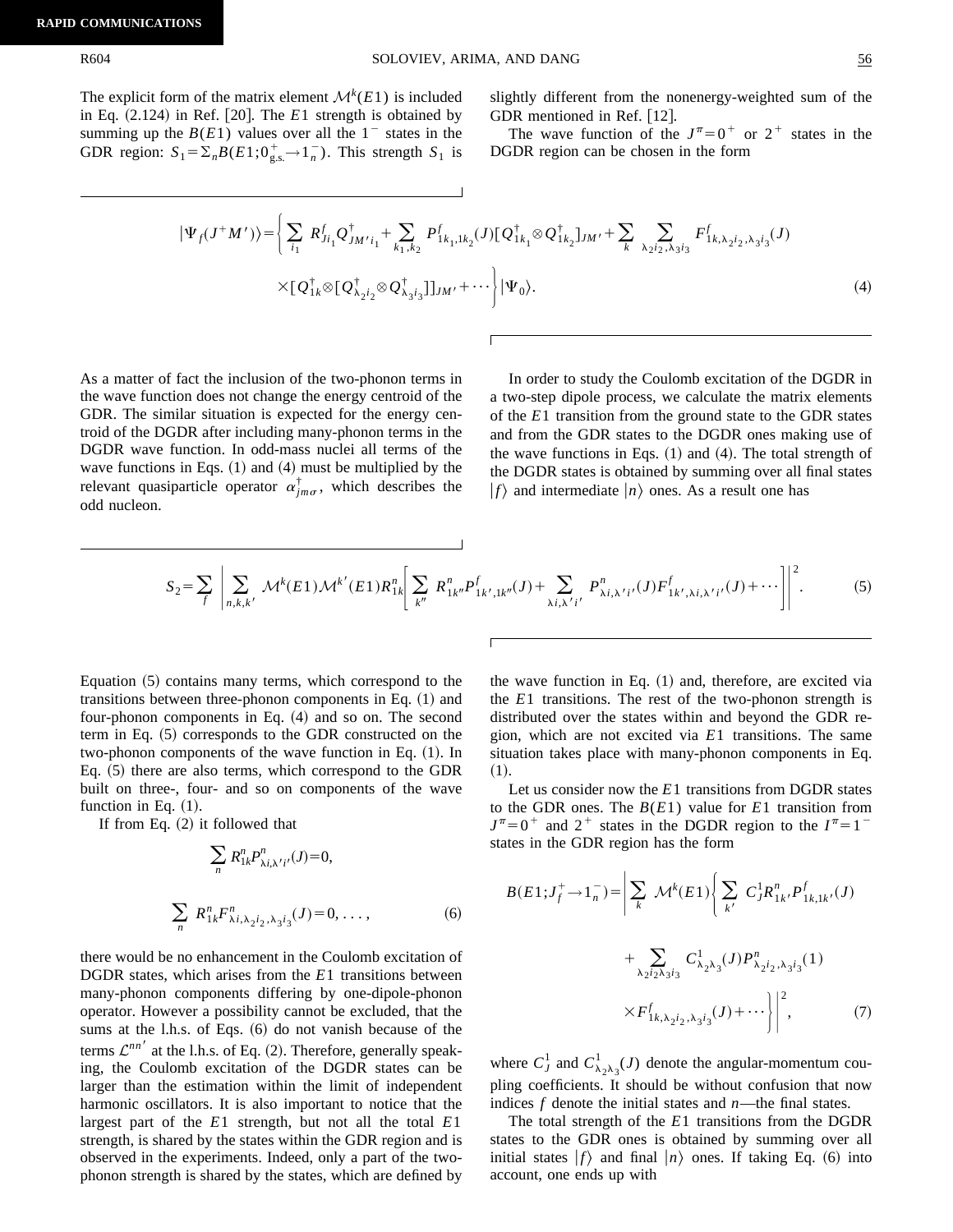The explicit form of the matrix element  $\mathcal{M}^k(E1)$  is included in Eq.  $(2.124)$  in Ref.  $[20]$ . The *E*1 strength is obtained by summing up the  $B(E1)$  values over all the  $1^-$  states in the GDR region:  $S_1 = \sum_n B(E1; 0_{g.s.}^+ \rightarrow 1_n^-)$ . This strength  $S_1$  is

slightly different from the nonenergy-weighted sum of the GDR mentioned in Ref.  $[12]$ .

The wave function of the  $J^{\pi}=0^+$  or  $2^+$  states in the DGDR region can be chosen in the form

$$
|\Psi_{f}(J^{+}M')\rangle = \left\{\sum_{i_{1}} R^{f}_{Ji_{1}} Q^{\dagger}_{JM'i_{1}} + \sum_{k_{1},k_{2}} P^{f}_{1k_{1},1k_{2}}(J)[Q^{\dagger}_{1k_{1}} \otimes Q^{\dagger}_{1k_{2}}]_{JM'} + \sum_{k} \sum_{\lambda_{2}i_{2},\lambda_{3}i_{3}} F^{f}_{1k,\lambda_{2}i_{2},\lambda_{3}i_{3}}(J) \right. \\ \times [Q^{\dagger}_{1k} \otimes [Q^{\dagger}_{\lambda_{2}i_{2}} \otimes Q^{\dagger}_{\lambda_{3}i_{3}}]]_{JM'} + \cdots \right\} |\Psi_{0}\rangle. \tag{4}
$$

As a matter of fact the inclusion of the two-phonon terms in the wave function does not change the energy centroid of the GDR. The similar situation is expected for the energy centroid of the DGDR after including many-phonon terms in the DGDR wave function. In odd-mass nuclei all terms of the wave functions in Eqs.  $(1)$  and  $(4)$  must be multiplied by the relevant quasiparticle operator  $\alpha_{im\sigma}^{\dagger}$ , which describes the odd nucleon.

In order to study the Coulomb excitation of the DGDR in a two-step dipole process, we calculate the matrix elements of the *E*1 transition from the ground state to the GDR states and from the GDR states to the DGDR ones making use of the wave functions in Eqs.  $(1)$  and  $(4)$ . The total strength of the DGDR states is obtained by summing over all final states  $|f\rangle$  and intermediate  $|n\rangle$  ones. As a result one has

$$
S_2 = \sum_f \left| \sum_{n,k,k'} \mathcal{M}^k(E1) \mathcal{M}^{k'}(E1) R_{1k}^n \right| \sum_{k''} R_{1k''}^n P_{1k',1k''}^f(J) + \sum_{\lambda i,\lambda' i'} P_{\lambda i,\lambda' i'}^n (J) F_{1k',\lambda i,\lambda' i'}^f(J) + \cdots \right|^2.
$$
 (5)

Equation  $(5)$  contains many terms, which correspond to the transitions between three-phonon components in Eq.  $(1)$  and four-phonon components in Eq.  $(4)$  and so on. The second term in Eq.  $(5)$  corresponds to the GDR constructed on the two-phonon components of the wave function in Eq.  $(1)$ . In Eq.  $(5)$  there are also terms, which correspond to the GDR built on three-, four- and so on components of the wave function in Eq.  $(1)$ .

If from Eq.  $(2)$  it followed that

$$
\sum_{n} R_{1k}^{n} P_{\lambda i, \lambda' i'}^{n}(J) = 0,
$$
  

$$
\sum_{n} R_{1k}^{n} F_{\lambda i, \lambda_2 i_2, \lambda_3 i_3}^{n}(J) = 0, ...,
$$
 (6)

there would be no enhancement in the Coulomb excitation of DGDR states, which arises from the *E*1 transitions between many-phonon components differing by one-dipole-phonon operator. However a possibility cannot be excluded, that the sums at the l.h.s. of Eqs.  $(6)$  do not vanish because of the terms  $\mathcal{L}^{nn'}$  at the l.h.s. of Eq. (2). Therefore, generally speaking, the Coulomb excitation of the DGDR states can be larger than the estimation within the limit of independent harmonic oscillators. It is also important to notice that the largest part of the *E*1 strength, but not all the total *E*1 strength, is shared by the states within the GDR region and is observed in the experiments. Indeed, only a part of the twophonon strength is shared by the states, which are defined by the wave function in Eq.  $(1)$  and, therefore, are excited via the *E*1 transitions. The rest of the two-phonon strength is distributed over the states within and beyond the GDR region, which are not excited via *E*1 transitions. The same situation takes place with many-phonon components in Eq.  $(1).$ 

Let us consider now the *E*1 transitions from DGDR states to the GDR ones. The *B*(*E*1) value for *E*1 transition from  $J^{\pi}=0$ <sup>+</sup> and 2<sup>+</sup> states in the DGDR region to the  $I^{\pi}=1$ <sup>-</sup> states in the GDR region has the form

$$
B(E1; J_f^+ \to 1_n^-) = \left| \sum_k \mathcal{M}^k(E1) \right| \sum_{k'} C_j^1 R_{1k'}^n P_{1k,1k'}^f(J)
$$
  
+ 
$$
\sum_{\lambda_2 i_2 \lambda_3 i_3} C_{\lambda_2 \lambda_3}^1(J) P_{\lambda_2 i_2, \lambda_3 i_3}^n(1)
$$
  

$$
\times F_{1k, \lambda_2 i_2, \lambda_3 i_3}^f(J) + \cdots \Big| \Big|^2, \qquad (7)
$$

where  $C_J^1$  and  $C_{\lambda_2\lambda_3}^1(J)$  denote the angular-momentum coupling coefficients. It should be without confusion that now indices *f* denote the initial states and *n*—the final states.

The total strength of the *E*1 transitions from the DGDR states to the GDR ones is obtained by summing over all initial states  $|f\rangle$  and final  $|n\rangle$  ones. If taking Eq. (6) into account, one ends up with